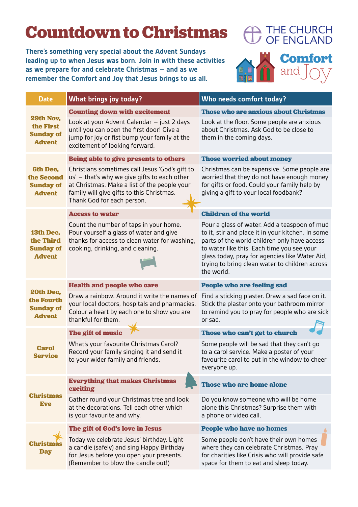## **Countdown to Christmas**

**There's something very special about the Advent Sundays leading up to when Jesus was born. Join in with these activities as we prepare for and celebrate Christmas – and as we remember the Comfort and Joy that Jesus brings to us all.**



| <b>Date</b>                                                        | What brings joy today?                                                                                                                                                                                                    | Who needs comfort today?                                                                                                                                                                                                                                                                                          |
|--------------------------------------------------------------------|---------------------------------------------------------------------------------------------------------------------------------------------------------------------------------------------------------------------------|-------------------------------------------------------------------------------------------------------------------------------------------------------------------------------------------------------------------------------------------------------------------------------------------------------------------|
| 29th Nov,<br>the First<br><b>Sunday of</b><br><b>Advent</b>        | <b>Counting down with excitement</b>                                                                                                                                                                                      | <b>Those who are anxious about Christmas</b>                                                                                                                                                                                                                                                                      |
|                                                                    | Look at your Advent Calendar - just 2 days<br>until you can open the first door! Give a<br>jump for joy or fist bump your family at the<br>excitement of looking forward.                                                 | Look at the floor. Some people are anxious<br>about Christmas. Ask God to be close to<br>them in the coming days.                                                                                                                                                                                                 |
| <b>6th Dec,</b><br>the Second<br><b>Sunday of</b><br><b>Advent</b> | Being able to give presents to others                                                                                                                                                                                     | <b>Those worried about money</b>                                                                                                                                                                                                                                                                                  |
|                                                                    | Christians sometimes call Jesus 'God's gift to<br>us' - that's why we give gifts to each other<br>at Christmas. Make a list of the people your<br>family will give gifts to this Christmas.<br>Thank God for each person. | Christmas can be expensive. Some people are<br>worried that they do not have enough money<br>for gifts or food. Could your family help by<br>giving a gift to your local foodbank?                                                                                                                                |
| 13th Dec,<br>the Third<br><b>Sunday of</b><br><b>Advent</b>        | <b>Access to water</b>                                                                                                                                                                                                    | <b>Children of the world</b>                                                                                                                                                                                                                                                                                      |
|                                                                    | Count the number of taps in your home.<br>Pour yourself a glass of water and give<br>thanks for access to clean water for washing,<br>cooking, drinking, and cleaning.                                                    | Pour a glass of water. Add a teaspoon of mud<br>to it, stir and place it in your kitchen. In some<br>parts of the world children only have access<br>to water like this. Each time you see your<br>glass today, pray for agencies like Water Aid,<br>trying to bring clean water to children across<br>the world. |
| 20th Dec,<br>the Fourth<br><b>Sunday of</b><br><b>Advent</b>       | <b>Health and people who care</b>                                                                                                                                                                                         | <b>People who are feeling sad</b>                                                                                                                                                                                                                                                                                 |
|                                                                    | Draw a rainbow. Around it write the names of<br>your local doctors, hospitals and pharmacies.<br>Colour a heart by each one to show you are<br>thankful for them.                                                         | Find a sticking plaster. Draw a sad face on it.<br>Stick the plaster onto your bathroom mirror<br>to remind you to pray for people who are sick<br>or sad.                                                                                                                                                        |
| <b>Carol</b><br><b>Service</b>                                     | The gift of music                                                                                                                                                                                                         | Those who can't get to church                                                                                                                                                                                                                                                                                     |
|                                                                    | What's your favourite Christmas Carol?<br>Record your family singing it and send it<br>to your wider family and friends                                                                                                   | Some people will be sad that they can't go<br>to a carol service. Make a poster of your<br>favourite carol to put in the window to cheer<br>everyone up.                                                                                                                                                          |
| <b>Christmas</b><br><b>Eve</b>                                     | <b>Everything that makes Christmas</b><br>exciting                                                                                                                                                                        | <b>Those who are home alone</b>                                                                                                                                                                                                                                                                                   |
|                                                                    | Gather round your Christmas tree and look<br>at the decorations. Tell each other which<br>is your favourite and why.                                                                                                      | Do you know someone who will be home<br>alone this Christmas? Surprise them with<br>a phone or video call.                                                                                                                                                                                                        |
| Christ<br><b>Day</b>                                               | The gift of God's love in Jesus                                                                                                                                                                                           | <b>People who have no homes</b>                                                                                                                                                                                                                                                                                   |
|                                                                    | Today we celebrate Jesus' birthday. Light<br>a candle (safely) and sing Happy Birthday<br>for Jesus before you open your presents.<br>(Remember to blow the candle out!)                                                  | Some people don't have their own homes<br>where they can celebrate Christmas. Pray<br>for charities like Crisis who will provide safe<br>space for them to eat and sleep today.                                                                                                                                   |